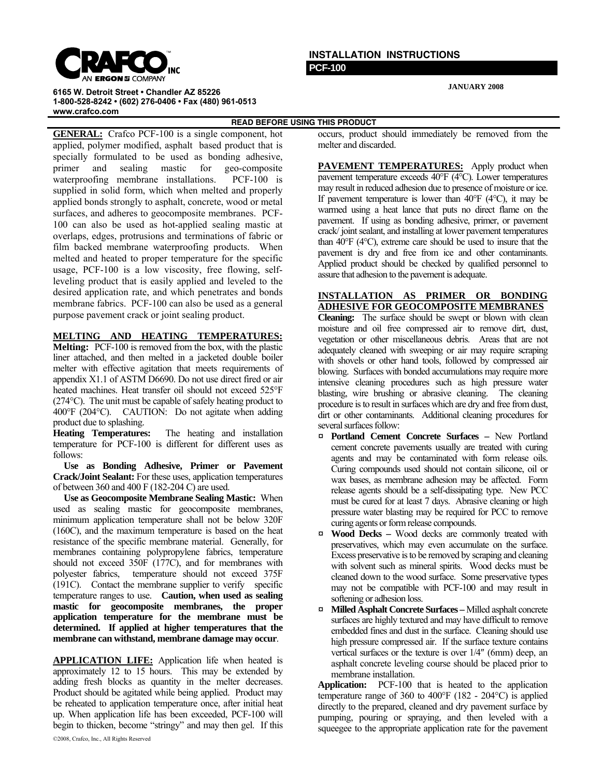

## **INSTALLATION INSTRUCTIONS PCF-100**

**JANUARY 2008**

**6165 W. Detroit Street • Chandler AZ 85226 1-800-528-8242 • (602) 276-0406 • Fax (480) 961-0513 www.crafco.com**

**READ BEFORE USING THIS PRODUCT** 

**GENERAL:** Crafco PCF-100 is a single component, hot applied, polymer modified, asphalt based product that is specially formulated to be used as bonding adhesive, primer and sealing mastic for geo-composite waterproofing membrane installations. PCF-100 is supplied in solid form, which when melted and properly applied bonds strongly to asphalt, concrete, wood or metal surfaces, and adheres to geocomposite membranes. PCF-100 can also be used as hot-applied sealing mastic at overlaps, edges, protrusions and terminations of fabric or film backed membrane waterproofing products. When melted and heated to proper temperature for the specific usage, PCF-100 is a low viscosity, free flowing, selfleveling product that is easily applied and leveled to the desired application rate, and which penetrates and bonds membrane fabrics. PCF-100 can also be used as a general purpose pavement crack or joint sealing product.

## **MELTING AND HEATING TEMPERATURES:**

**Melting:** PCF-100 is removed from the box, with the plastic liner attached, and then melted in a jacketed double boiler melter with effective agitation that meets requirements of appendix X1.1 of ASTM D6690. Do not use direct fired or air heated machines. Heat transfer oil should not exceed 525°F (274°C). The unit must be capable of safely heating product to 400°F (204°C). CAUTION: Do not agitate when adding product due to splashing.

**Heating Temperatures:** The heating and installation temperature for PCF-100 is different for different uses as follows:

 **Use as Bonding Adhesive, Primer or Pavement Crack/Joint Sealant:** For these uses, application temperatures of between 360 and 400 F (182-204 C) are used.

 **Use as Geocomposite Membrane Sealing Mastic:** When used as sealing mastic for geocomposite membranes, minimum application temperature shall not be below 320F (160C), and the maximum temperature is based on the heat resistance of the specific membrane material. Generally, for membranes containing polypropylene fabrics, temperature should not exceed 350F (177C), and for membranes with polyester fabrics, temperature should not exceed 375F (191C). Contact the membrane supplier to verify specific temperature ranges to use. **Caution, when used as sealing mastic for geocomposite membranes, the proper application temperature for the membrane must be determined. If applied at higher temperatures that the membrane can withstand, membrane damage may occur**.

**APPLICATION LIFE:** Application life when heated is approximately 12 to 15 hours. This may be extended by adding fresh blocks as quantity in the melter decreases. Product should be agitated while being applied. Product may be reheated to application temperature once, after initial heat up. When application life has been exceeded, PCF-100 will begin to thicken, become "stringy" and may then gel. If this

©2008, Crafco, Inc., All Rights Reserved

occurs, product should immediately be removed from the melter and discarded.

**PAVEMENT TEMPERATURES:** Apply product when pavement temperature exceeds 40°F (4°C). Lower temperatures may result in reduced adhesion due to presence of moisture or ice. If pavement temperature is lower than 40°F (4°C), it may be warmed using a heat lance that puts no direct flame on the pavement. If using as bonding adhesive, primer, or pavement crack/ joint sealant, and installing at lower pavement temperatures than 40°F (4°C), extreme care should be used to insure that the pavement is dry and free from ice and other contaminants. Applied product should be checked by qualified personnel to assure that adhesion to the pavement is adequate.

## **INSTALLATION AS PRIMER OR BONDING ADHESIVE FOR GEOCOMPOSITE MEMBRANES**

**Cleaning:** The surface should be swept or blown with clean moisture and oil free compressed air to remove dirt, dust, vegetation or other miscellaneous debris. Areas that are not adequately cleaned with sweeping or air may require scraping with shovels or other hand tools, followed by compressed air blowing. Surfaces with bonded accumulations may require more intensive cleaning procedures such as high pressure water blasting, wire brushing or abrasive cleaning. The cleaning procedure is to result in surfaces which are dry and free from dust, dirt or other contaminants. Additional cleaning procedures for several surfaces follow:

- ¤ **Portland Cement Concrete Surfaces** New Portland cement concrete pavements usually are treated with curing agents and may be contaminated with form release oils. Curing compounds used should not contain silicone, oil or wax bases, as membrane adhesion may be affected. Form release agents should be a self-dissipating type. New PCC must be cured for at least 7 days. Abrasive cleaning or high pressure water blasting may be required for PCC to remove curing agents or form release compounds.
- ¤ **Wood Decks –** Wood decks are commonly treated with preservatives, which may even accumulate on the surface. Excess preservative is to be removed by scraping and cleaning with solvent such as mineral spirits. Wood decks must be cleaned down to the wood surface. Some preservative types may not be compatible with PCF-100 and may result in softening or adhesion loss.
- ¤ **Milled Asphalt Concrete Surfaces** Milled asphalt concrete surfaces are highly textured and may have difficult to remove embedded fines and dust in the surface. Cleaning should use high pressure compressed air. If the surface texture contains vertical surfaces or the texture is over 1/4″ (6mm) deep, an asphalt concrete leveling course should be placed prior to membrane installation.

**Application:** PCF-100 that is heated to the application temperature range of 360 to 400°F (182 - 204°C) is applied directly to the prepared, cleaned and dry pavement surface by pumping, pouring or spraying, and then leveled with a squeegee to the appropriate application rate for the pavement